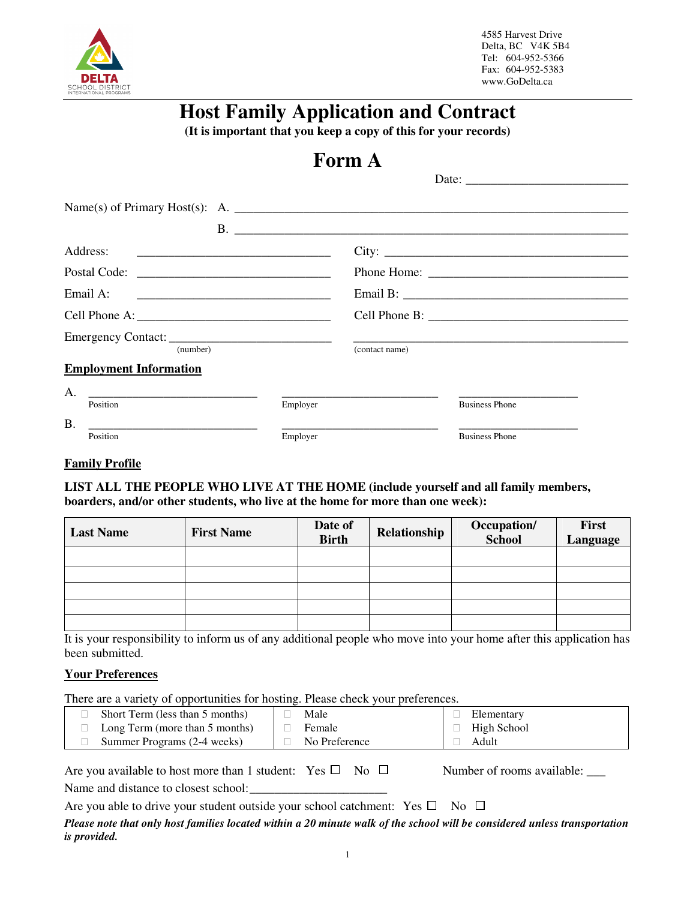

# **Host Family Application and Contract**

**(It is important that you keep a copy of this for your records)** 

# **Form A**

| Name(s) of Primary Host(s): A. $\frac{1}{2}$ A.                        |          |                |                       |
|------------------------------------------------------------------------|----------|----------------|-----------------------|
|                                                                        |          |                | B.<br>City:           |
|                                                                        |          |                |                       |
|                                                                        |          |                |                       |
|                                                                        |          |                |                       |
| Emergency Contact:<br>(number)                                         |          | (contact name) |                       |
| <b>Employment Information</b>                                          |          |                |                       |
| A.<br>Position                                                         | Employer |                | <b>Business Phone</b> |
| <b>B.</b><br><u> 1989 - Andrea Andrew Maria (h. 1989).</u><br>Position | Employer |                | <b>Business Phone</b> |

### **Family Profile**

**LIST ALL THE PEOPLE WHO LIVE AT THE HOME (include yourself and all family members, boarders, and/or other students, who live at the home for more than one week):** 

| <b>Last Name</b> | <b>First Name</b> | Date of<br><b>Birth</b> | Relationship | Occupation/<br><b>School</b> | <b>First</b><br>Language |
|------------------|-------------------|-------------------------|--------------|------------------------------|--------------------------|
|                  |                   |                         |              |                              |                          |
|                  |                   |                         |              |                              |                          |
|                  |                   |                         |              |                              |                          |
|                  |                   |                         |              |                              |                          |
|                  |                   |                         |              |                              |                          |

It is your responsibility to inform us of any additional people who move into your home after this application has been submitted.

#### **Your Preferences**

There are a variety of opportunities for hosting. Please check your preferences.

| Short Term (less than 5 months) | Male          | Elementary  |
|---------------------------------|---------------|-------------|
| Long Term (more than 5 months)  | Female        | High School |
| Summer Programs (2-4 weeks)     | No Preference | Adult       |

| Are you available to host more than 1 student: Yes $\square$ No $\square$ |  | Number of rooms available: |
|---------------------------------------------------------------------------|--|----------------------------|
| Name and distance to closest school:                                      |  |                            |

Are you able to drive your student outside your school catchment: Yes  $\square$  No  $\square$ 

*Please note that only host families located within a 20 minute walk of the school will be considered unless transportation is provided.*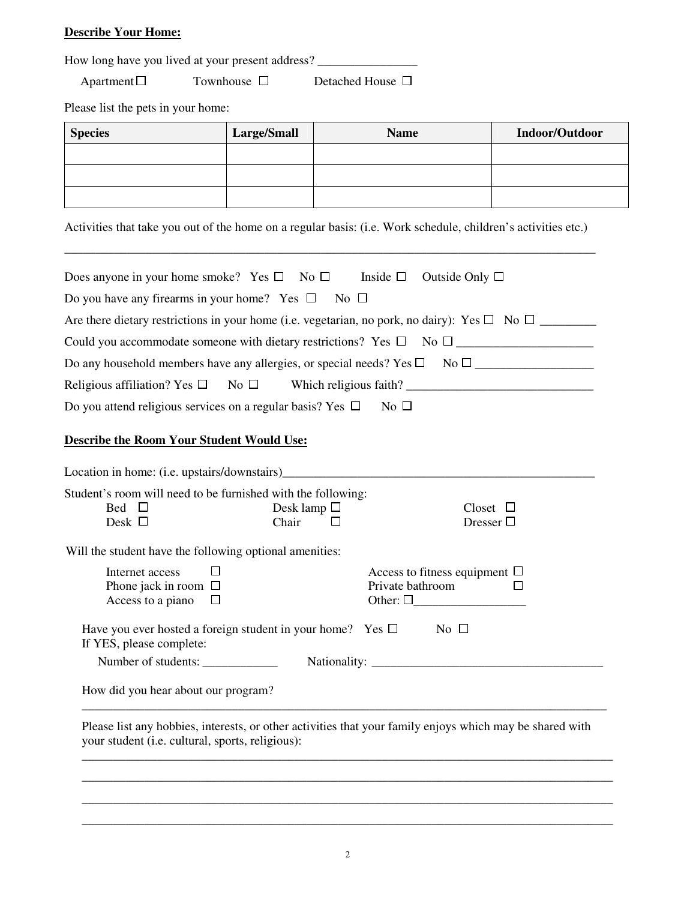## **Describe Your Home:**

How long have you lived at your present address? \_\_\_\_\_\_\_\_\_\_\_\_\_\_\_\_\_\_\_\_\_\_\_\_\_\_\_\_\_\_\_

 $\Box$  Townhouse  $\Box$  Detached House  $\Box$ 

Please list the pets in your home:

| <b>Species</b> | Large/Small | <b>Name</b> | Indoor/Outdoor |
|----------------|-------------|-------------|----------------|
|                |             |             |                |
|                |             |             |                |
|                |             |             |                |

Activities that take you out of the home on a regular basis: (i.e. Work schedule, children's activities etc.)

| Does anyone in your home smoke? Yes $\square$ No $\square$ Inside $\square$                                 |                                    | Outside Only $\square$                                                                                   |
|-------------------------------------------------------------------------------------------------------------|------------------------------------|----------------------------------------------------------------------------------------------------------|
| Do you have any firearms in your home? Yes $\Box$                                                           | $\overline{\phantom{1}}$ No $\Box$ |                                                                                                          |
|                                                                                                             |                                    | Are there dietary restrictions in your home (i.e. vegetarian, no pork, no dairy): Yes $\Box$ No $\Box$   |
|                                                                                                             |                                    |                                                                                                          |
|                                                                                                             |                                    |                                                                                                          |
|                                                                                                             |                                    |                                                                                                          |
| Do you attend religious services on a regular basis? Yes $\Box$ No $\Box$                                   |                                    |                                                                                                          |
|                                                                                                             |                                    |                                                                                                          |
| <b>Describe the Room Your Student Would Use:</b>                                                            |                                    |                                                                                                          |
| Location in home: (i.e. upstairs/downstairs)<br><u>Location</u> in home: (i.e. upstairs/downstairs)         |                                    |                                                                                                          |
| Student's room will need to be furnished with the following:                                                |                                    |                                                                                                          |
| Bed $\square$<br>Desk $\Box$                                                                                | Desk lamp $\Box$<br>Chair<br>П     | $Closet$ $\Box$<br>Dresser $\Box$                                                                        |
|                                                                                                             |                                    |                                                                                                          |
| Will the student have the following optional amenities:                                                     |                                    |                                                                                                          |
| Internet access<br>П                                                                                        |                                    | Access to fitness equipment $\Box$                                                                       |
| Phone jack in room $\Box$<br>$\Box$                                                                         |                                    | Private bathroom<br>П                                                                                    |
| Access to a piano                                                                                           |                                    | Other: $\square$                                                                                         |
| Have you ever hosted a foreign student in your home? Yes $\square$ No $\square$<br>If YES, please complete: |                                    |                                                                                                          |
| Number of students:                                                                                         |                                    |                                                                                                          |
| How did you hear about our program?                                                                         |                                    |                                                                                                          |
|                                                                                                             |                                    | Please list any hobbies, interests, or other activities that your family enjoys which may be shared with |
| your student (i.e. cultural, sports, religious):                                                            |                                    |                                                                                                          |

\_\_\_\_\_\_\_\_\_\_\_\_\_\_\_\_\_\_\_\_\_\_\_\_\_\_\_\_\_\_\_\_\_\_\_\_\_\_\_\_\_\_\_\_\_\_\_\_\_\_\_\_\_\_\_\_\_\_\_\_\_\_\_\_\_\_\_\_\_\_\_\_\_\_\_\_\_\_\_\_\_\_\_\_\_ \_\_\_\_\_\_\_\_\_\_\_\_\_\_\_\_\_\_\_\_\_\_\_\_\_\_\_\_\_\_\_\_\_\_\_\_\_\_\_\_\_\_\_\_\_\_\_\_\_\_\_\_\_\_\_\_\_\_\_\_\_\_\_\_\_\_\_\_\_\_\_\_\_\_\_\_\_\_\_\_\_\_\_\_\_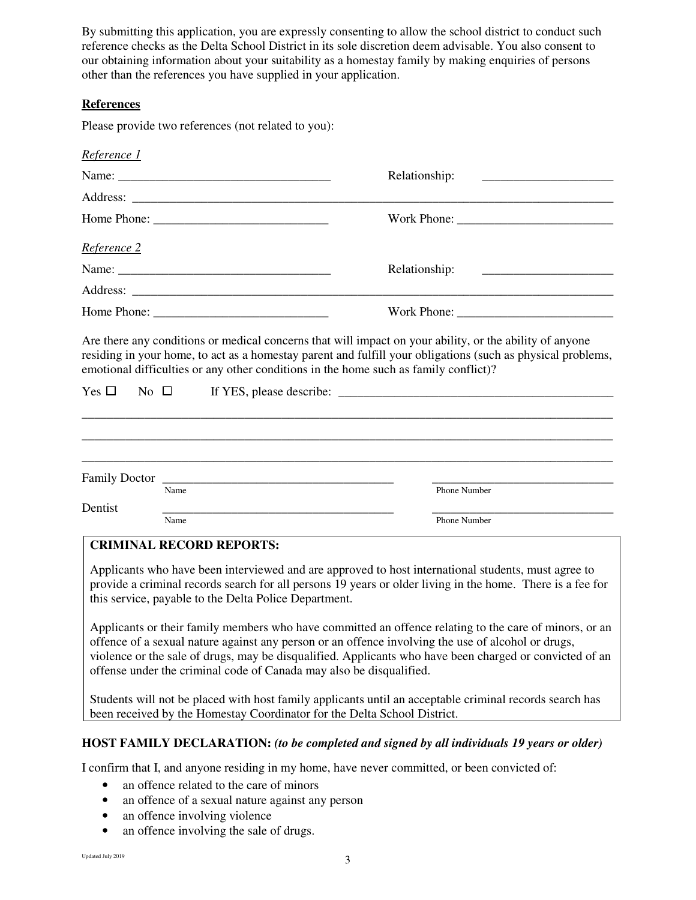By submitting this application, you are expressly consenting to allow the school district to conduct such reference checks as the Delta School District in its sole discretion deem advisable. You also consent to our obtaining information about your suitability as a homestay family by making enquiries of persons other than the references you have supplied in your application.

### **References**

Please provide two references (not related to you):

| Reference 1          |                                                                          |                                                                                                                                                                                                                                                                                                                             |
|----------------------|--------------------------------------------------------------------------|-----------------------------------------------------------------------------------------------------------------------------------------------------------------------------------------------------------------------------------------------------------------------------------------------------------------------------|
|                      |                                                                          | Relationship:                                                                                                                                                                                                                                                                                                               |
|                      |                                                                          |                                                                                                                                                                                                                                                                                                                             |
|                      |                                                                          |                                                                                                                                                                                                                                                                                                                             |
| <u>Reference 2</u>   |                                                                          |                                                                                                                                                                                                                                                                                                                             |
|                      |                                                                          | Relationship:                                                                                                                                                                                                                                                                                                               |
|                      |                                                                          |                                                                                                                                                                                                                                                                                                                             |
|                      |                                                                          |                                                                                                                                                                                                                                                                                                                             |
| $Yes \Box$ No $\Box$ |                                                                          | Are there any conditions or medical concerns that will impact on your ability, or the ability of anyone<br>residing in your home, to act as a homestay parent and fulfill your obligations (such as physical problems,<br>emotional difficulties or any other conditions in the home such as family conflict)?              |
| Dentist              | Name                                                                     | Phone Number                                                                                                                                                                                                                                                                                                                |
|                      | Name                                                                     | Phone Number                                                                                                                                                                                                                                                                                                                |
|                      | <b>CRIMINAL RECORD REPORTS:</b>                                          |                                                                                                                                                                                                                                                                                                                             |
|                      | this service, payable to the Delta Police Department.                    | Applicants who have been interviewed and are approved to host international students, must agree to<br>provide a criminal records search for all persons 19 years or older living in the home. There is a fee for<br>Applicants or their family members who have committed an offence relating to the care of minors, or an |
|                      | offense under the criminal code of Canada may also be disqualified.      | offence of a sexual nature against any person or an offence involving the use of alcohol or drugs,<br>violence or the sale of drugs, may be disqualified. Applicants who have been charged or convicted of an                                                                                                               |
|                      | been received by the Homestay Coordinator for the Delta School District. | Students will not be placed with host family applicants until an acceptable criminal records search has                                                                                                                                                                                                                     |
|                      |                                                                          | <b>HOST FAMILY DECLARATION: (to be completed and signed by all individuals 19 years or older)</b>                                                                                                                                                                                                                           |

I confirm that I, and anyone residing in my home, have never committed, or been convicted of:

- an offence related to the care of minors
- an offence of a sexual nature against any person
- an offence involving violence
- an offence involving the sale of drugs.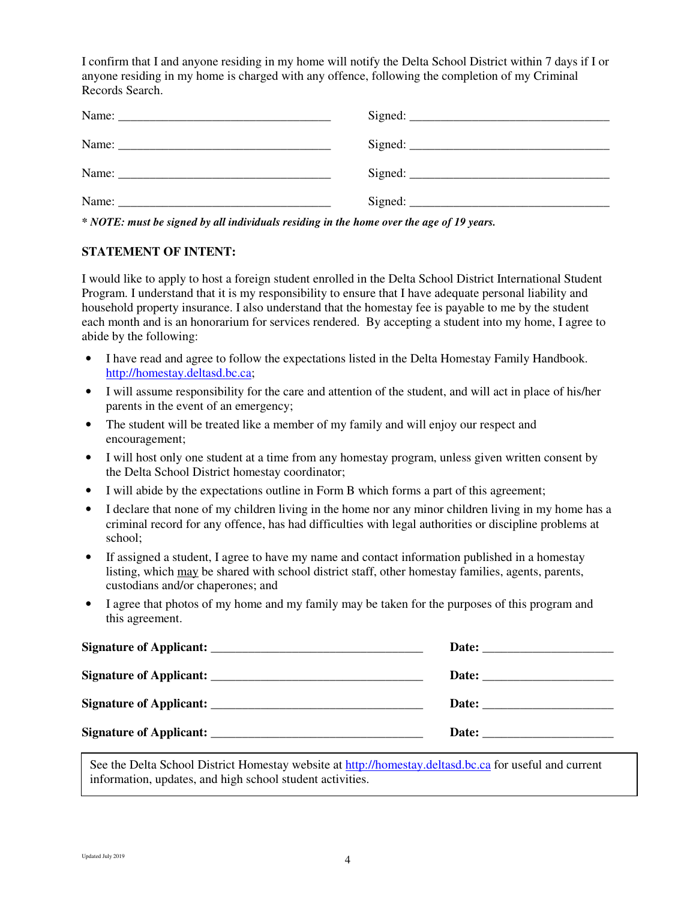I confirm that I and anyone residing in my home will notify the Delta School District within 7 days if I or anyone residing in my home is charged with any offence, following the completion of my Criminal Records Search.

*\* NOTE: must be signed by all individuals residing in the home over the age of 19 years.* 

#### **STATEMENT OF INTENT:**

I would like to apply to host a foreign student enrolled in the Delta School District International Student Program. I understand that it is my responsibility to ensure that I have adequate personal liability and household property insurance. I also understand that the homestay fee is payable to me by the student each month and is an honorarium for services rendered. By accepting a student into my home, I agree to abide by the following:

- I have read and agree to follow the expectations listed in the Delta Homestay Family Handbook. http://homestay.deltasd.bc.ca;
- I will assume responsibility for the care and attention of the student, and will act in place of his/her parents in the event of an emergency;
- The student will be treated like a member of my family and will enjoy our respect and encouragement;
- I will host only one student at a time from any homestay program, unless given written consent by the Delta School District homestay coordinator;
- I will abide by the expectations outline in Form B which forms a part of this agreement;
- I declare that none of my children living in the home nor any minor children living in my home has a criminal record for any offence, has had difficulties with legal authorities or discipline problems at school;
- If assigned a student, I agree to have my name and contact information published in a homestay listing, which may be shared with school district staff, other homestay families, agents, parents, custodians and/or chaperones; and
- I agree that photos of my home and my family may be taken for the purposes of this program and this agreement.

| Date: the contract of the contract of the contract of the contract of the contract of the contract of the contract of the contract of the contract of the contract of the contract of the contract of the contract of the cont |
|--------------------------------------------------------------------------------------------------------------------------------------------------------------------------------------------------------------------------------|
|                                                                                                                                                                                                                                |
| Date:                                                                                                                                                                                                                          |

See the Delta School District Homestay website at http://homestay.deltasd.bc.ca for useful and current information, updates, and high school student activities.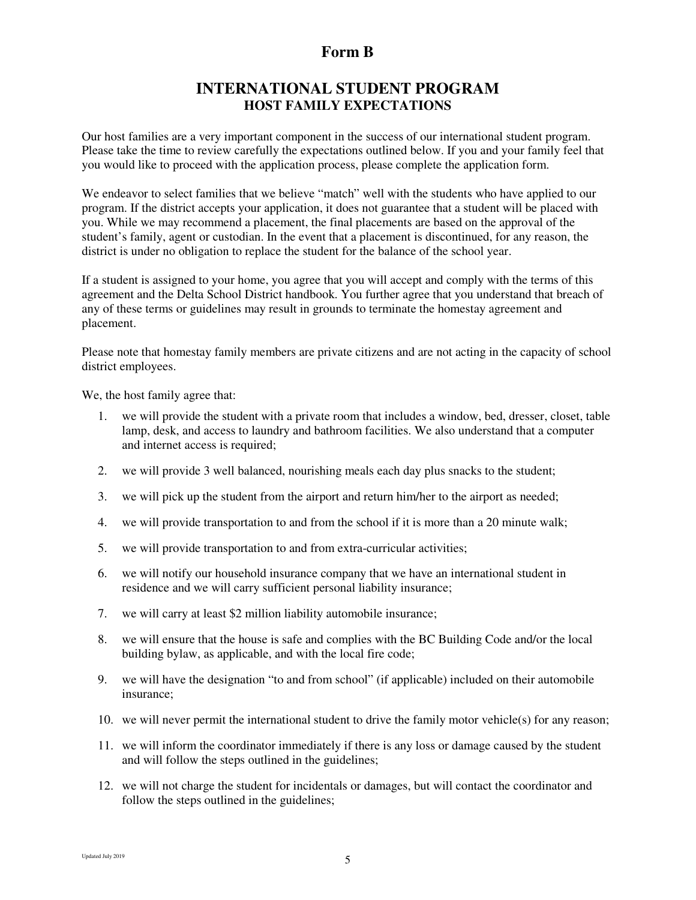## **Form B**

## **INTERNATIONAL STUDENT PROGRAM HOST FAMILY EXPECTATIONS**

Our host families are a very important component in the success of our international student program. Please take the time to review carefully the expectations outlined below. If you and your family feel that you would like to proceed with the application process, please complete the application form.

We endeavor to select families that we believe "match" well with the students who have applied to our program. If the district accepts your application, it does not guarantee that a student will be placed with you. While we may recommend a placement, the final placements are based on the approval of the student's family, agent or custodian. In the event that a placement is discontinued, for any reason, the district is under no obligation to replace the student for the balance of the school year.

If a student is assigned to your home, you agree that you will accept and comply with the terms of this agreement and the Delta School District handbook. You further agree that you understand that breach of any of these terms or guidelines may result in grounds to terminate the homestay agreement and placement.

Please note that homestay family members are private citizens and are not acting in the capacity of school district employees.

We, the host family agree that:

- 1. we will provide the student with a private room that includes a window, bed, dresser, closet, table lamp, desk, and access to laundry and bathroom facilities. We also understand that a computer and internet access is required;
- 2. we will provide 3 well balanced, nourishing meals each day plus snacks to the student;
- 3. we will pick up the student from the airport and return him/her to the airport as needed;
- 4. we will provide transportation to and from the school if it is more than a 20 minute walk;
- 5. we will provide transportation to and from extra-curricular activities;
- 6. we will notify our household insurance company that we have an international student in residence and we will carry sufficient personal liability insurance;
- 7. we will carry at least \$2 million liability automobile insurance;
- 8. we will ensure that the house is safe and complies with the BC Building Code and/or the local building bylaw, as applicable, and with the local fire code;
- 9. we will have the designation "to and from school" (if applicable) included on their automobile insurance;
- 10. we will never permit the international student to drive the family motor vehicle(s) for any reason;
- 11. we will inform the coordinator immediately if there is any loss or damage caused by the student and will follow the steps outlined in the guidelines;
- 12. we will not charge the student for incidentals or damages, but will contact the coordinator and follow the steps outlined in the guidelines;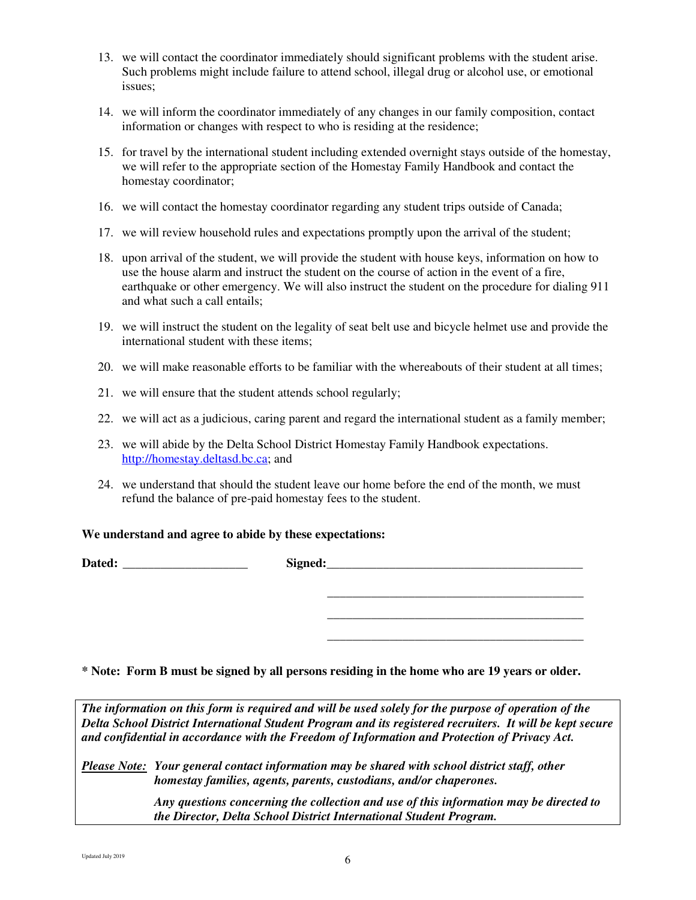- 13. we will contact the coordinator immediately should significant problems with the student arise. Such problems might include failure to attend school, illegal drug or alcohol use, or emotional issues;
- 14. we will inform the coordinator immediately of any changes in our family composition, contact information or changes with respect to who is residing at the residence;
- 15. for travel by the international student including extended overnight stays outside of the homestay, we will refer to the appropriate section of the Homestay Family Handbook and contact the homestay coordinator;
- 16. we will contact the homestay coordinator regarding any student trips outside of Canada;
- 17. we will review household rules and expectations promptly upon the arrival of the student;
- 18. upon arrival of the student, we will provide the student with house keys, information on how to use the house alarm and instruct the student on the course of action in the event of a fire, earthquake or other emergency. We will also instruct the student on the procedure for dialing 911 and what such a call entails;
- 19. we will instruct the student on the legality of seat belt use and bicycle helmet use and provide the international student with these items;
- 20. we will make reasonable efforts to be familiar with the whereabouts of their student at all times;
- 21. we will ensure that the student attends school regularly;
- 22. we will act as a judicious, caring parent and regard the international student as a family member;
- 23. we will abide by the Delta School District Homestay Family Handbook expectations. http://homestay.deltasd.bc.ca; and
- 24. we understand that should the student leave our home before the end of the month, we must refund the balance of pre-paid homestay fees to the student.

#### **We understand and agree to abide by these expectations:**

Dated: The contract of the state of the state of the state of the state of the state of the state of the state of the state of the state of the state of the state of the state of the state of the state of the state of the

**\* Note: Form B must be signed by all persons residing in the home who are 19 years or older.** 

 **\_\_\_\_\_\_\_\_\_\_\_\_\_\_\_\_\_\_\_\_\_\_\_\_\_\_\_\_\_\_\_\_\_\_\_\_\_\_\_\_\_ \_\_\_\_\_\_\_\_\_\_\_\_\_\_\_\_\_\_\_\_\_\_\_\_\_\_\_\_\_\_\_\_\_\_\_\_\_\_\_\_\_ \_\_\_\_\_\_\_\_\_\_\_\_\_\_\_\_\_\_\_\_\_\_\_\_\_\_\_\_\_\_\_\_\_\_\_\_\_\_\_\_\_** 

*The information on this form is required and will be used solely for the purpose of operation of the Delta School District International Student Program and its registered recruiters. It will be kept secure and confidential in accordance with the Freedom of Information and Protection of Privacy Act.* 

*Please Note: Your general contact information may be shared with school district staff, other homestay families, agents, parents, custodians, and/or chaperones.* 

> *Any questions concerning the collection and use of this information may be directed to the Director, Delta School District International Student Program.*